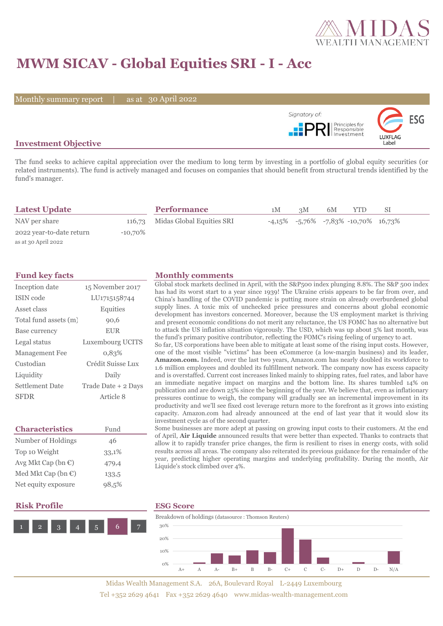

# **MWM SICAV - Global Equities SRI - I - Acc**

Monthly summary report | as at 30 April 2022



### **Investment Objective**

The fund seeks to achieve capital appreciation over the medium to long term by investing in a portfolio of global equity securities (or related instruments). The fund is actively managed and focuses on companies that should benefit from structural trends identified by the fund's manager.

| <b>Latest Update</b>     |            | <b>Performance</b>               | 1M | 3M | 6M | YTD                                                | SІ |  |
|--------------------------|------------|----------------------------------|----|----|----|----------------------------------------------------|----|--|
| NAV per share            |            | 116,73 Midas Global Equities SRI |    |    |    | $-4,15\%$ $-5,76\%$ $-7,83\%$ $-10,70\%$ $16,73\%$ |    |  |
| 2022 year-to-date return | $-10,70\%$ |                                  |    |    |    |                                                    |    |  |
| as at 30 April 2022      |            |                                  |    |    |    |                                                    |    |  |

| Inception date        | 15 November 2017    |  |  |  |  |
|-----------------------|---------------------|--|--|--|--|
| ISIN code             | LU1715158744        |  |  |  |  |
| Asset class           | Equities            |  |  |  |  |
| Total fund assets (m) | 90,6                |  |  |  |  |
| Base currency         | <b>EUR</b>          |  |  |  |  |
| Legal status          | Luxembourg UCITS    |  |  |  |  |
| Management Fee        | 0,83%               |  |  |  |  |
| Custodian             | Crédit Suisse Lux   |  |  |  |  |
| Liquidity             | Daily               |  |  |  |  |
| Settlement Date       | Trade Date + 2 Days |  |  |  |  |
| <b>SFDR</b>           | Article 8           |  |  |  |  |

| <b>Characteristics</b>         | Fund  |  |  |  |
|--------------------------------|-------|--|--|--|
| Number of Holdings             | 46    |  |  |  |
| Top 10 Weight                  | 33,1% |  |  |  |
| Avg Mkt Cap (bn $\mathbb{C}$ ) | 479,4 |  |  |  |
| Med Mkt Cap (bn $\mathbb{C}$ ) | 133,5 |  |  |  |
| Net equity exposure            | 98,5% |  |  |  |

## **Risk Profile ESG Score**



### **Fund key facts Monthly comments**

Global stock markets declined in April, with the S&P500 index plunging 8.8%. The S&P 500 index has had its worst start to a year since 1939! The Ukraine crisis appears to be far from over, and China's handling of the COVID pandemic is putting more strain on already overburdened global supply lines. A toxic mix of unchecked price pressures and concerns about global economic development has investors concerned. Moreover, because the US employment market is thriving and present economic conditions do not merit any reluctance, the US FOMC has no alternative but to attack the US inflation situation vigorously. The USD, which was up about 5% last month, was the fund's primary positive contributor, reflecting the FOMC's rising feeling of urgency to act.

So far, US corporations have been able to mitigate at least some of the rising input costs. However, one of the most visible "victims" has been eCommerce (a low-margin business) and its leader, **Amazon.com.** Indeed, over the last two years, Amazon.com has nearly doubled its workforce to 1.6 million employees and doubled its fulfillment network. The company now has excess capacity and is overstaffed. Current cost increases linked mainly to shipping rates, fuel rates, and labor have an immediate negative impact on margins and the bottom line. Its shares tumbled 14% on publication and are down 25% since the beginning of the year. We believe that, even as inflationary pressures continue to weigh, the company will gradually see an incremental improvement in its productivity and we'll see fixed cost leverage return more to the forefront as it grows into existing capacity. Amazon.com had already announced at the end of last year that it would slow its investment cycle as of the second quarter.

Some businesses are more adept at passing on growing input costs to their customers. At the end of April, **Air Liquide** announced results that were better than expected. Thanks to contracts that allow it to rapidly transfer price changes, the firm is resilient to rises in energy costs, with solid results across all areas. The company also reiterated its previous guidance for the remainder of the year, predicting higher operating margins and underlying profitability. During the month, Air Liquide's stock climbed over 4%.



Midas Wealth Management S.A. 26A, Boulevard Royal L-2449 Luxembourg Tel +352 2629 4641 Fax +352 2629 4640 www.midas-wealth-management.com